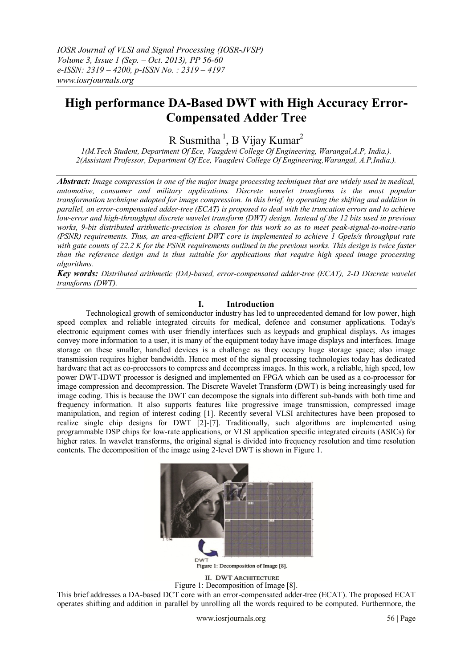# **High performance DA-Based DWT with High Accuracy Error-Compensated Adder Tree**

R Susmitha<sup>1</sup>, B Vijay Kumar<sup>2</sup>

*1(M.Tech Student, Department Of Ece, Vaagdevi College Of Engineering, Warangal,A.P, India.). 2(Assistant Professor, Department Of Ece, Vaagdevi College Of Engineering,Warangal, A.P,India.).*

*Abstract: Image compression is one of the major image processing techniques that are widely used in medical, automotive, consumer and military applications. Discrete wavelet transforms is the most popular transformation technique adopted for image compression. In this brief, by operating the shifting and addition in parallel, an error-compensated adder-tree (ECAT) is proposed to deal with the truncation errors and to achieve low-error and high-throughput discrete wavelet transform (DWT) design. Instead of the 12 bits used in previous works, 9-bit distributed arithmetic-precision is chosen for this work so as to meet peak-signal-to-noise-ratio (PSNR) requirements. Thus, an area-efficient DWT core is implemented to achieve 1 Gpels/s throughput rate with gate counts of 22.2 K for the PSNR requirements outlined in the previous works. This design is twice faster than the reference design and is thus suitable for applications that require high speed image processing algorithms.*

*Key words: Distributed arithmetic (DA)-based, error-compensated adder-tree (ECAT), 2-D Discrete wavelet transforms (DWT).*

## **I. Introduction**

Technological growth of semiconductor industry has led to unprecedented demand for low power, high speed complex and reliable integrated circuits for medical, defence and consumer applications. Today's electronic equipment comes with user friendly interfaces such as keypads and graphical displays. As images convey more information to a user, it is many of the equipment today have image displays and interfaces. Image storage on these smaller, handled devices is a challenge as they occupy huge storage space; also image transmission requires higher bandwidth. Hence most of the signal processing technologies today has dedicated hardware that act as co-processors to compress and decompress images. In this work, a reliable, high speed, low power DWT-IDWT processor is designed and implemented on FPGA which can be used as a co-processor for image compression and decompression. The Discrete Wavelet Transform (DWT) is being increasingly used for image coding. This is because the DWT can decompose the signals into different sub-bands with both time and frequency information. It also supports features like progressive image transmission, compressed image manipulation, and region of interest coding [1]. Recently several VLSI architectures have been proposed to realize single chip designs for DWT [2]-[7]. Traditionally, such algorithms are implemented using programmable DSP chips for low-rate applications, or VLSI application specific integrated circuits (ASICs) for higher rates. In wavelet transforms, the original signal is divided into frequency resolution and time resolution contents. The decomposition of the image using 2-level DWT is shown in Figure 1.



**II. DWT ARCHITECTURE** Figure 1: Decomposition of Image [8].

This brief addresses a DA-based DCT core with an error-compensated adder-tree (ECAT). The proposed ECAT operates shifting and addition in parallel by unrolling all the words required to be computed. Furthermore, the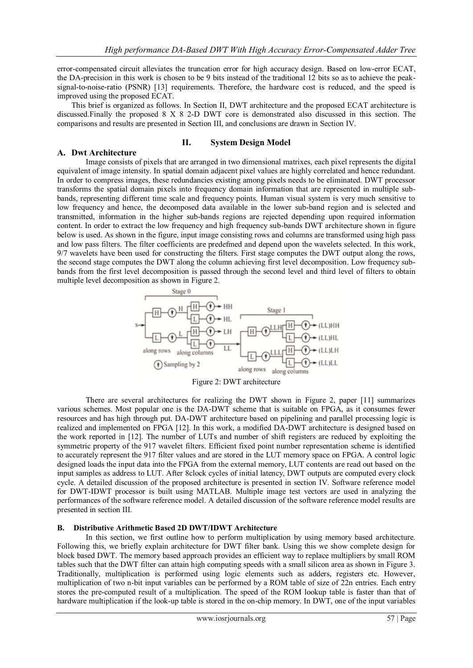error-compensated circuit alleviates the truncation error for high accuracy design. Based on low-error ECAT, the DA-precision in this work is chosen to be 9 bits instead of the traditional 12 bits so as to achieve the peaksignal-to-noise-ratio (PSNR) [13] requirements. Therefore, the hardware cost is reduced, and the speed is improved using the proposed ECAT.

This brief is organized as follows. In Section II, DWT architecture and the proposed ECAT architecture is discussed.Finally the proposed 8 X 8 2-D DWT core is demonstrated also discussed in this section. The comparisons and results are presented in Section III, and conclusions are drawn in Section IV.

# **A. Dwt Architecture**

#### **II. System Design Model**

Image consists of pixels that are arranged in two dimensional matrixes, each pixel represents the digital equivalent of image intensity. In spatial domain adjacent pixel values are highly correlated and hence redundant. In order to compress images, these redundancies existing among pixels needs to be eliminated. DWT processor transforms the spatial domain pixels into frequency domain information that are represented in multiple subbands, representing different time scale and frequency points. Human visual system is very much sensitive to low frequency and hence, the decomposed data available in the lower sub-band region and is selected and transmitted, information in the higher sub-bands regions are rejected depending upon required information content. In order to extract the low frequency and high frequency sub-bands DWT architecture shown in figure below is used. As shown in the figure, input image consisting rows and columns are transformed using high pass and low pass filters. The filter coefficients are predefmed and depend upon the wavelets selected. In this work, 9/7 wavelets have been used for constructing the filters. First stage computes the DWT output along the rows, the second stage computes the DWT along the column achieving first level decomposition. Low frequency subbands from the first level decomposition is passed through the second level and third level of filters to obtain multiple level decomposition as shown in Figure 2.



Figure 2: DWT architecture

There are several architectures for realizing the DWT shown in Figure 2, paper [11] summarizes various schemes. Most popular one is the DA-DWT scheme that is suitable on FPGA, as it consumes fewer resources and has high through put. DA-DWT architecture based on pipelining and parallel processing logic is realized and implemented on FPGA [12]. In this work, a modified DA-DWT architecture is designed based on the work reported in [12]. The number of LUTs and number of shift registers are reduced by exploiting the symmetric property of the 917 wavelet filters. Efficient fixed point number representation scheme is identified to accurately represent the 917 filter values and are stored in the LUT memory space on FPGA. A control logic designed loads the input data into the FPGA from the external memory, LUT contents are read out based on the input samples as address to LUT. After 8clock cycles of initial latency, DWT outputs are computed every clock cycle. A detailed discussion of the proposed architecture is presented in section IV. Software reference model for DWT-IDWT processor is built using MATLAB. Multiple image test vectors are used in analyzing the performances of the software reference model. A detailed discussion of the software reference model results are presented in section III.

#### **B. Distributive Arithmetic Based 2D DWT/IDWT Architecture**

In this section, we first outline how to perform multiplication by using memory based architecture. Following this, we briefly explain architecture for DWT filter bank. Using this we show complete design for block based DWT. The memory based approach provides an efficient way to replace multipliers by small ROM tables such that the DWT filter can attain high computing speeds with a small silicon area as shown in Figure 3. Traditionally, multiplication is performed using logic elements such as adders, registers etc. However, multiplication of two n-bit input variables can be performed by a ROM table of size of 22n entries. Each entry stores the pre-computed result of a multiplication. The speed of the ROM lookup table is faster than that of hardware multiplication if the look-up table is stored in the on-chip memory. In DWT, one of the input variables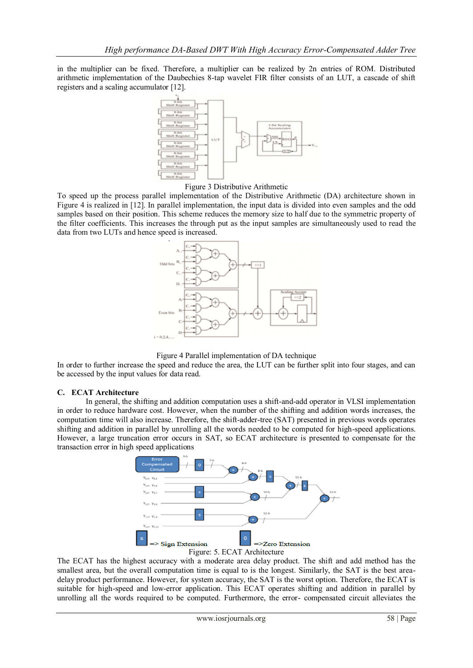in the multiplier can be fixed. Therefore, a multiplier can be realized by 2n entries of ROM. Distributed arithmetic implementation of the Daubechies 8-tap wavelet FIR filter consists of an LUT, a cascade of shift registers and a scaling accumulator [12].



Figure 3 Distributive Arithmetic

To speed up the process parallel implementation of the Distributive Arithmetic (DA) architecture shown in Figure 4 is realized in [12]. In parallel implementation, the input data is divided into even samples and the odd samples based on their position. This scheme reduces the memory size to half due to the symmetric property of the filter coefficients. This increases the through put as the input samples are simultaneously used to read the data from two LUTs and hence speed is increased.





In order to further increase the speed and reduce the area, the LUT can be further split into four stages, and can be accessed by the input values for data read.

## **C. ECAT Architecture**

In general, the shifting and addition computation uses a shift-and-add operator in VLSI implementation in order to reduce hardware cost. However, when the number of the shifting and addition words increases, the computation time will also increase. Therefore, the shift-adder-tree (SAT) presented in previous words operates shifting and addition in parallel by unrolling all the words needed to be computed for high-speed applications. However, a large truncation error occurs in SAT, so ECAT architecture is presented to compensate for the transaction error in high speed applications



The ECAT has the highest accuracy with a moderate area delay product. The shift and add method has the smallest area, but the overall computation time is equal to is the longest. Similarly, the SAT is the best areadelay product performance. However, for system accuracy, the SAT is the worst option. Therefore, the ECAT is suitable for high-speed and low-error application. This ECAT operates shifting and addition in parallel by unrolling all the words required to be computed. Furthermore, the error- compensated circuit alleviates the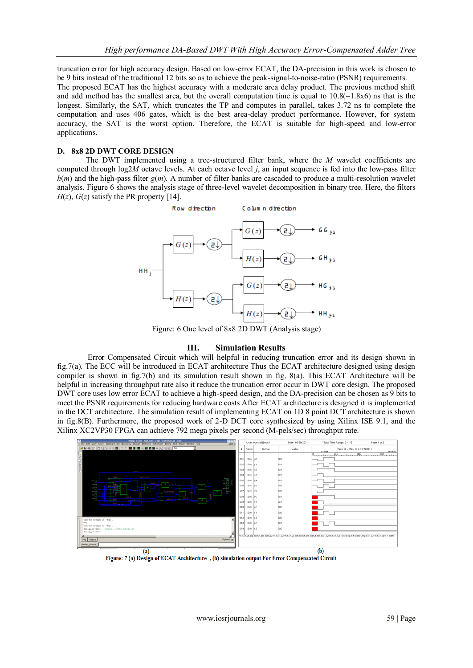truncation error for high accuracy design. Based on low-error ECAT, the DA-precision in this work is chosen to be 9 bits instead of the traditional 12 bits so as to achieve the peak-signal-to-noise-ratio (PSNR) requirements. The proposed ECAT has the highest accuracy with a moderate area delay product. The previous method shift and add method has the smallest area, but the overall computation time is equal to  $10.8(=1.8x6)$  ns that is the longest. Similarly, the SAT, which truncates the TP and computes in parallel, takes 3.72 ns to complete the computation and uses 406 gates, which is the best area-delay product performance. However, for system accuracy, the SAT is the worst option. Therefore, the ECAT is suitable for high-speed and low-error applications.

## **D. 8x8 2D DWT CORE DESIGN**

The DWT implemented using a tree-structured filter bank, where the *M* wavelet coefficients are computed through log2*M* octave levels. At each octave level *j*, an input sequence is fed into the low-pass filter  $h(m)$  and the high-pass filter  $g(m)$ . A number of filter banks are cascaded to produce a multi-resolution wavelet analysis. Figure 6 shows the analysis stage of three-level wavelet decomposition in binary tree. Here, the filters  $H(z)$ ,  $G(z)$  satisfy the PR property [14].



Figure: 6 One level of 8x8 2D DWT (Analysis stage)

## **III. Simulation Results**

Error Compensated Circuit which will helpful in reducing truncation error and its design shown in fig.7(a). The ECC will be introduced in ECAT architecture Thus the ECAT architecture designed using design compiler is shown in fig.7(b) and its simulation result shown in fig. 8(a). This ECAT Architecture will be helpful in increasing throughput rate also it reduce the truncation error occur in DWT core design. The proposed DWT core uses low error ECAT to achieve a high-speed design, and the DA-precision can be chosen as 9 bits to meet the PSNR requirements for reducing hardware costs After ECAT architecture is designed it is implemented in the DCT architecture. The simulation result of implementing ECAT on 1D 8 point DCT architecture is shown in fig.8(B). Furthermore, the proposed work of 2-D DCT core synthesized by using Xilinx ISE 9.1, and the Xilinx XC2VP30 FPGA can achieve 792 mega pixels per second (M-pels/sec) throughput rate.



Figure: 7 (a) Design of ECAT Architecture , (b) simulation output For Error Compensated Circuit